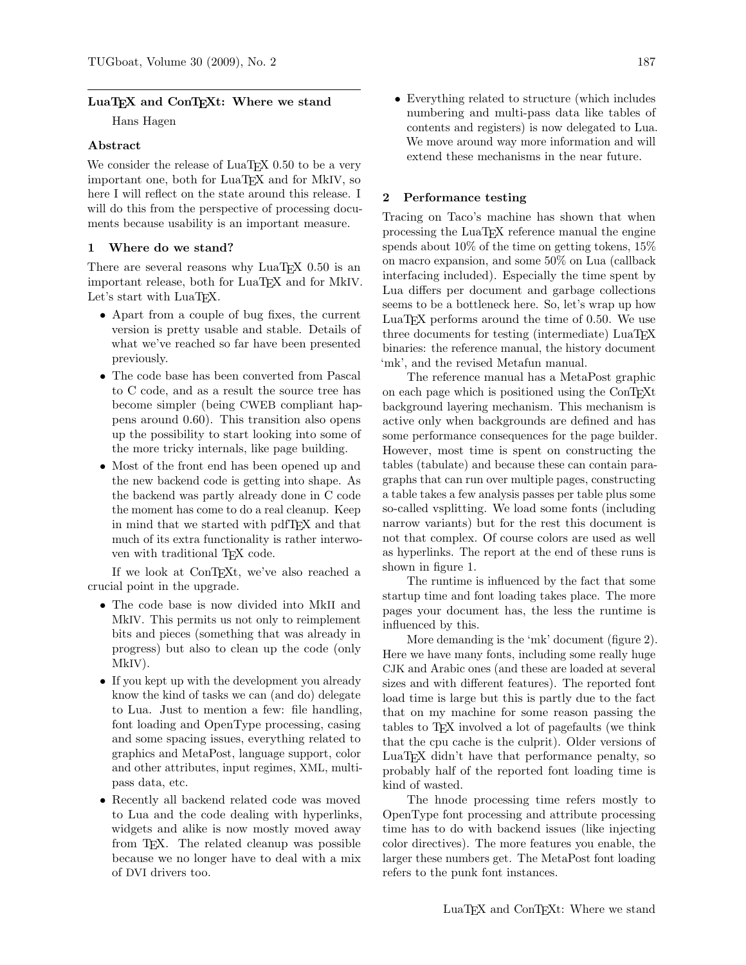## LuaT<sub>EX</sub> and ConT<sub>EX</sub>t: Where we stand

Hans Hagen

## Abstract

We consider the release of LuaT<sub>EX</sub> 0.50 to be a very important one, both for LuaT<sub>EX</sub> and for MkIV, so here I will reflect on the state around this release. I will do this from the perspective of processing documents because usability is an important measure.

## 1 Where do we stand?

There are several reasons why  $\text{LuaT} \not\!\!{F} \not\!\!{X}$  0.50 is an important release, both for LuaT<sub>E</sub>X and for MkIV. Let's start with LuaTFX.

- Apart from a couple of bug fixes, the current version is pretty usable and stable. Details of what we've reached so far have been presented previously.
- The code base has been converted from Pascal to C code, and as a result the source tree has become simpler (being CWEB compliant happens around 0.60). This transition also opens up the possibility to start looking into some of the more tricky internals, like page building.
- Most of the front end has been opened up and the new backend code is getting into shape. As the backend was partly already done in C code the moment has come to do a real cleanup. Keep in mind that we started with pdfTEX and that much of its extra functionality is rather interwoven with traditional T<sub>EX</sub> code.

If we look at ConTEXt, we've also reached a crucial point in the upgrade.

- The code base is now divided into MkII and MkIV. This permits us not only to reimplement bits and pieces (something that was already in progress) but also to clean up the code (only MkIV).
- If you kept up with the development you already know the kind of tasks we can (and do) delegate to Lua. Just to mention a few: file handling, font loading and OpenType processing, casing and some spacing issues, everything related to graphics and MetaPost, language support, color and other attributes, input regimes, XML, multipass data, etc.
- Recently all backend related code was moved to Lua and the code dealing with hyperlinks, widgets and alike is now mostly moved away from TEX. The related cleanup was possible because we no longer have to deal with a mix of DVI drivers too.

• Everything related to structure (which includes numbering and multi-pass data like tables of contents and registers) is now delegated to Lua.

We move around way more information and will extend these mechanisms in the near future.

### 2 Performance testing

Tracing on Taco's machine has shown that when processing the LuaTEX reference manual the engine spends about 10% of the time on getting tokens, 15% on macro expansion, and some 50% on Lua (callback interfacing included). Especially the time spent by Lua differs per document and garbage collections seems to be a bottleneck here. So, let's wrap up how LuaT<sub>EX</sub> performs around the time of  $0.50$ . We use three documents for testing (intermediate) LuaT<sub>EX</sub> binaries: the reference manual, the history document 'mk', and the revised Metafun manual.

The reference manual has a MetaPost graphic on each page which is positioned using the ConTEXt background layering mechanism. This mechanism is active only when backgrounds are defined and has some performance consequences for the page builder. However, most time is spent on constructing the tables (tabulate) and because these can contain paragraphs that can run over multiple pages, constructing a table takes a few analysis passes per table plus some so-called vsplitting. We load some fonts (including narrow variants) but for the rest this document is not that complex. Of course colors are used as well as hyperlinks. The report at the end of these runs is shown in figure 1.

The runtime is influenced by the fact that some startup time and font loading takes place. The more pages your document has, the less the runtime is influenced by this.

More demanding is the 'mk' document (figure 2). Here we have many fonts, including some really huge CJK and Arabic ones (and these are loaded at several sizes and with different features). The reported font load time is large but this is partly due to the fact that on my machine for some reason passing the tables to TEX involved a lot of pagefaults (we think that the cpu cache is the culprit). Older versions of LuaTEX didn't have that performance penalty, so probably half of the reported font loading time is kind of wasted.

The hnode processing time refers mostly to OpenType font processing and attribute processing time has to do with backend issues (like injecting color directives). The more features you enable, the larger these numbers get. The MetaPost font loading refers to the punk font instances.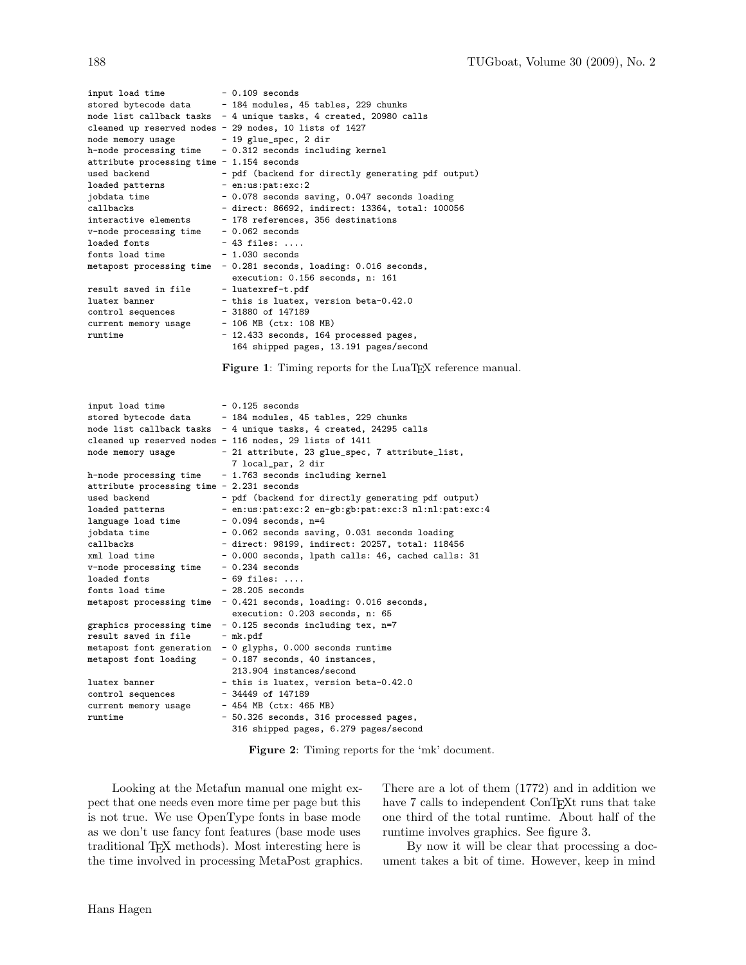| input load time                            | $-0.109$ seconds                                                   |  |  |  |  |
|--------------------------------------------|--------------------------------------------------------------------|--|--|--|--|
| stored bytecode data                       | - 184 modules, 45 tables, 229 chunks                               |  |  |  |  |
|                                            | node list callback tasks $-4$ unique tasks, 4 created, 20980 calls |  |  |  |  |
|                                            | cleaned up reserved nodes - 29 nodes, 10 lists of 1427             |  |  |  |  |
| node memory usage                          | - 19 glue_spec, 2 dir                                              |  |  |  |  |
| h-node processing time                     | - 0.312 seconds including kernel                                   |  |  |  |  |
| attribute processing time $-1.154$ seconds |                                                                    |  |  |  |  |
| used backend                               | - pdf (backend for directly generating pdf output)                 |  |  |  |  |
| loaded patterns                            | $-$ en:us:pat:exc:2                                                |  |  |  |  |
| jobdata time                               | - 0.078 seconds saving, 0.047 seconds loading                      |  |  |  |  |
| callbacks                                  | - direct: 86692, indirect: 13364, total: 100056                    |  |  |  |  |
| interactive elements                       | - 178 references, 356 destinations                                 |  |  |  |  |
| v-node processing time                     | $-0.062$ seconds                                                   |  |  |  |  |
| loaded fonts                               | $-43$ files:                                                       |  |  |  |  |
| fonts load time                            | $-1.030$ seconds                                                   |  |  |  |  |
| metapost processing time                   | - 0.281 seconds, loading: 0.016 seconds,                           |  |  |  |  |
|                                            | execution: 0.156 seconds, n: 161                                   |  |  |  |  |
| result saved in file                       | - luatexref-t.pdf                                                  |  |  |  |  |
| luatex banner                              | - this is luatex, version beta-0.42.0                              |  |  |  |  |
| control sequences                          | $-31880$ of 147189                                                 |  |  |  |  |
| current memory usage                       | $-106$ MB (ctx: 108 MB)                                            |  |  |  |  |
| runtime                                    | - 12.433 seconds, 164 processed pages,                             |  |  |  |  |
|                                            | 164 shipped pages, 13.191 pages/second                             |  |  |  |  |

Figure 1: Timing reports for the LuaTEX reference manual.

| input load time                           | $-0.125$ seconds                                                  |  |  |  |
|-------------------------------------------|-------------------------------------------------------------------|--|--|--|
| stored bytecode data                      | - 184 modules, 45 tables, 229 chunks                              |  |  |  |
|                                           | node list callback tasks - 4 unique tasks, 4 created, 24295 calls |  |  |  |
|                                           | cleaned up reserved nodes - 116 nodes, 29 lists of 1411           |  |  |  |
| node memory usage                         | - 21 attribute, 23 glue_spec, 7 attribute_list,                   |  |  |  |
|                                           | 7 local_par, 2 dir                                                |  |  |  |
| h-node processing time                    | - 1.763 seconds including kernel                                  |  |  |  |
| attribute processing time - 2.231 seconds |                                                                   |  |  |  |
| used backend                              | - pdf (backend for directly generating pdf output)                |  |  |  |
| loaded patterns                           | - en:us:pat:exc:2 en-gb:gb:pat:exc:3 nl:nl:pat:exc:4              |  |  |  |
| language load time                        | $-0.094$ seconds, n=4                                             |  |  |  |
| jobdata time                              | - 0.062 seconds saving, 0.031 seconds loading                     |  |  |  |
| callbacks                                 | - direct: 98199, indirect: 20257, total: 118456                   |  |  |  |
| xml load time                             | - 0.000 seconds, lpath calls: 46, cached calls: 31                |  |  |  |
| v-node processing time                    | $-0.234$ seconds                                                  |  |  |  |
| loaded fonts                              | $-69$ files:                                                      |  |  |  |
| fonts load time                           | $-28.205$ seconds                                                 |  |  |  |
| metapost processing time                  | - 0.421 seconds, loading: 0.016 seconds,                          |  |  |  |
|                                           | execution: 0.203 seconds, n: 65                                   |  |  |  |
| graphics processing time                  | - 0.125 seconds including tex, n=7                                |  |  |  |
| result saved in file                      | - mk.pdf                                                          |  |  |  |
| metapost font generation                  | - 0 glyphs, 0.000 seconds runtime                                 |  |  |  |
| metapost font loading                     | - 0.187 seconds, 40 instances,                                    |  |  |  |
|                                           | 213.904 instances/second                                          |  |  |  |
| luatex banner                             | - this is luatex, version beta-0.42.0                             |  |  |  |
| control sequences                         | $-34449$ of 147189                                                |  |  |  |
| current memory usage                      | - 454 MB (ctx: 465 MB)                                            |  |  |  |
| runtime                                   | - 50.326 seconds, 316 processed pages,                            |  |  |  |
|                                           | 316 shipped pages, 6.279 pages/second                             |  |  |  |

Figure 2: Timing reports for the 'mk' document.

Looking at the Metafun manual one might expect that one needs even more time per page but this is not true. We use OpenType fonts in base mode as we don't use fancy font features (base mode uses traditional TEX methods). Most interesting here is the time involved in processing MetaPost graphics. There are a lot of them (1772) and in addition we have 7 calls to independent ConTEXt runs that take one third of the total runtime. About half of the runtime involves graphics. See figure 3.

By now it will be clear that processing a document takes a bit of time. However, keep in mind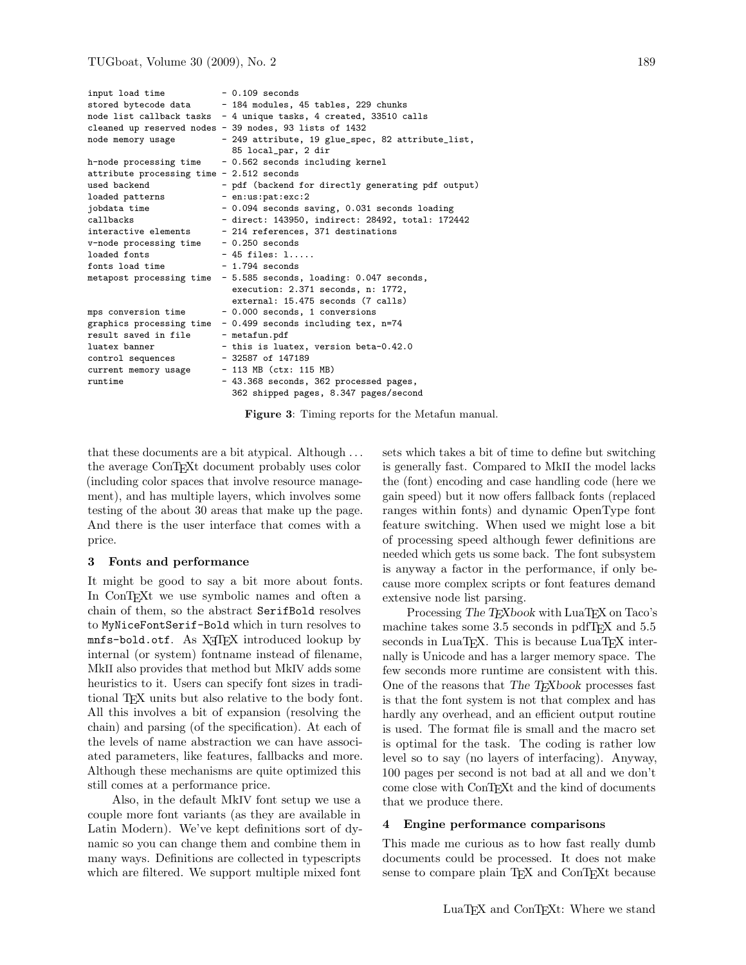| input load time                           |                                          | $-0.109$ seconds                                                  |  |  |  |  |
|-------------------------------------------|------------------------------------------|-------------------------------------------------------------------|--|--|--|--|
| stored bytecode data                      |                                          | - 184 modules, 45 tables, 229 chunks                              |  |  |  |  |
|                                           |                                          | node list callback tasks - 4 unique tasks, 4 created, 33510 calls |  |  |  |  |
|                                           |                                          | cleaned up reserved nodes - 39 nodes, 93 lists of 1432            |  |  |  |  |
| node memory usage                         |                                          | - 249 attribute, 19 glue_spec, 82 attribute_list,                 |  |  |  |  |
|                                           |                                          | 85 local_par, 2 dir                                               |  |  |  |  |
| h-node processing time                    |                                          | - 0.562 seconds including kernel                                  |  |  |  |  |
| attribute processing time - 2.512 seconds |                                          |                                                                   |  |  |  |  |
| used backend                              |                                          | - pdf (backend for directly generating pdf output)                |  |  |  |  |
| loaded patterns                           |                                          | - en:us:pat:exc:2                                                 |  |  |  |  |
| jobdata time                              |                                          | - 0.094 seconds saving, 0.031 seconds loading                     |  |  |  |  |
| callbacks                                 |                                          | - direct: 143950, indirect: 28492, total: 172442                  |  |  |  |  |
| interactive elements                      |                                          | - 214 references, 371 destinations                                |  |  |  |  |
| v-node processing time                    |                                          | $-0.250$ seconds                                                  |  |  |  |  |
| loaded fonts                              |                                          | $-45$ files: $1$                                                  |  |  |  |  |
| fonts load time                           |                                          | $-1.794$ seconds                                                  |  |  |  |  |
| metapost processing time                  | - 5.585 seconds, loading: 0.047 seconds, |                                                                   |  |  |  |  |
|                                           |                                          | execution: 2.371 seconds, n: 1772,                                |  |  |  |  |
|                                           |                                          | external: 15.475 seconds (7 calls)                                |  |  |  |  |
| mps conversion time                       |                                          | - 0.000 seconds, 1 conversions                                    |  |  |  |  |
| graphics processing time                  |                                          | - 0.499 seconds including tex, n=74                               |  |  |  |  |
| result saved in file                      |                                          | - metafun.pdf                                                     |  |  |  |  |
| luatex banner                             |                                          | - this is luatex, version beta-0.42.0                             |  |  |  |  |
| control sequences                         |                                          | $-32587$ of 147189                                                |  |  |  |  |
| current memory usage                      |                                          | $-113$ MB (ctx: 115 MB)                                           |  |  |  |  |
| runtime                                   |                                          | - 43.368 seconds, 362 processed pages,                            |  |  |  |  |
|                                           |                                          | 362 shipped pages, 8.347 pages/second                             |  |  |  |  |

Figure 3: Timing reports for the Metafun manual.

that these documents are a bit atypical. Although . . . the average ConTEXt document probably uses color (including color spaces that involve resource management), and has multiple layers, which involves some testing of the about 30 areas that make up the page. And there is the user interface that comes with a price.

# 3 Fonts and performance

It might be good to say a bit more about fonts. In ConTEXt we use symbolic names and often a chain of them, so the abstract SerifBold resolves to MyNiceFontSerif-Bold which in turn resolves to mnfs-bold.otf. As X<sub>T</sub>IFX introduced lookup by internal (or system) fontname instead of filename, MkII also provides that method but MkIV adds some heuristics to it. Users can specify font sizes in traditional TEX units but also relative to the body font. All this involves a bit of expansion (resolving the chain) and parsing (of the specification). At each of the levels of name abstraction we can have associated parameters, like features, fallbacks and more. Although these mechanisms are quite optimized this still comes at a performance price.

Also, in the default MkIV font setup we use a couple more font variants (as they are available in Latin Modern). We've kept definitions sort of dynamic so you can change them and combine them in many ways. Definitions are collected in typescripts which are filtered. We support multiple mixed font

sets which takes a bit of time to define but switching is generally fast. Compared to MkII the model lacks the (font) encoding and case handling code (here we gain speed) but it now offers fallback fonts (replaced ranges within fonts) and dynamic OpenType font feature switching. When used we might lose a bit of processing speed although fewer definitions are needed which gets us some back. The font subsystem is anyway a factor in the performance, if only because more complex scripts or font features demand extensive node list parsing.

Processing The T<sub>E</sub>Xbook with LuaT<sub>E</sub>X on Taco's machine takes some 3.5 seconds in pdfTEX and 5.5 seconds in LuaTEX. This is because LuaTEX internally is Unicode and has a larger memory space. The few seconds more runtime are consistent with this. One of the reasons that The T<sub>E</sub>Xbook processes fast is that the font system is not that complex and has hardly any overhead, and an efficient output routine is used. The format file is small and the macro set is optimal for the task. The coding is rather low level so to say (no layers of interfacing). Anyway, 100 pages per second is not bad at all and we don't come close with ConTEXt and the kind of documents that we produce there.

## 4 Engine performance comparisons

This made me curious as to how fast really dumb documents could be processed. It does not make sense to compare plain T<sub>EX</sub> and ConTEXt because